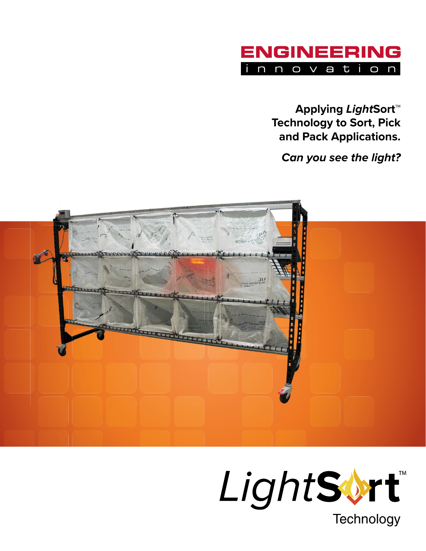

**Applying LightSort™ Technology to Sort, Pick and Pack Applications.** 

**Can you see the light?** 



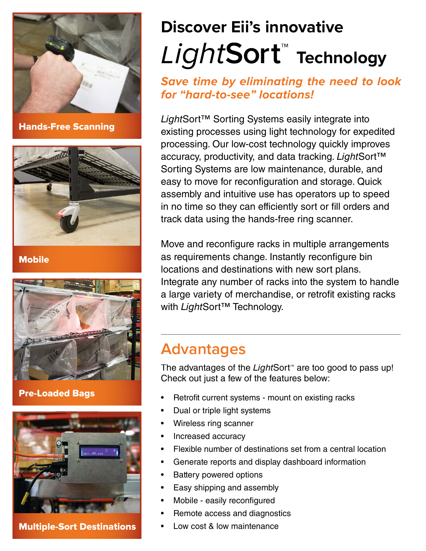

Hands-Free Scanning



**Mobile** 



#### Pre-Loaded Bags



Multiple-Sort Destinations

# Light**Sort™ Technology Discover Eii's innovative**

#### **Save time by eliminating the need to look for "hard-to-see" locations!**

*Light*Sort™ Sorting Systems easily integrate into existing processes using light technology for expedited processing. Our low-cost technology quickly improves accuracy, productivity, and data tracking. *Light*Sort™ Sorting Systems are low maintenance, durable, and easy to move for reconfiguration and storage. Quick assembly and intuitive use has operators up to speed in no time so they can efficiently sort or fill orders and track data using the hands-free ring scanner.

Move and reconfigure racks in multiple arrangements as requirements change. Instantly reconfigure bin locations and destinations with new sort plans. Integrate any number of racks into the system to handle a large variety of merchandise, or retrofit existing racks with *Light*Sort™ Technology.

## **Advantages**

The advantages of the *Light*Sort**™** are too good to pass up! Check out just a few of the features below:

- Retrofit current systems mount on existing racks
- Dual or triple light systems
- Wireless ring scanner
- Increased accuracy
- Flexible number of destinations set from a central location
- Generate reports and display dashboard information
- **Battery powered options**
- Easy shipping and assembly
- Mobile easily reconfigured
- Remote access and diagnostics
- Low cost & low maintenance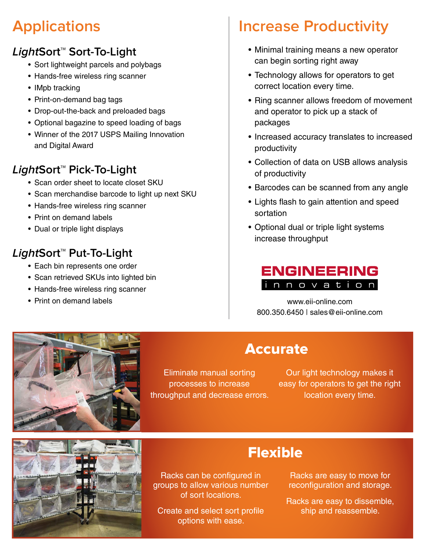# **Applications**

#### **LightSort™ Sort-To-Light**

- Sort lightweight parcels and polybags
- Hands-free wireless ring scanner
- IMpb tracking
- Print-on-demand bag tags
- Drop-out-the-back and preloaded bags
- Optional bagazine to speed loading of bags
- Winner of the 2017 USPS Mailing Innovation and Digital Award

#### **LightSort™ Pick-To-Light**

- Scan order sheet to locate closet SKU
- Scan merchandise barcode to light up next SKU
- Hands-free wireless ring scanner
- Print on demand labels
- Dual or triple light displays

#### **LightSort™ Put-To-Light**

- Each bin represents one order
- Scan retrieved SKUs into lighted bin
- Hands-free wireless ring scanner
- 

# **Increase Productivity**

- Minimal training means a new operator can begin sorting right away
- Technology allows for operators to get correct location every time.
- Ring scanner allows freedom of movement and operator to pick up a stack of packages
- Increased accuracy translates to increased productivity
- Collection of data on USB allows analysis of productivity
- Barcodes can be scanned from any angle
- Lights flash to gain attention and speed sortation
- Optional dual or triple light systems increase throughput



• Print on demand labels www.eii-online.com 800.350.6450 | sales@eii-online.com



## Accurate

Eliminate manual sorting processes to increase throughput and decrease errors.

Our light technology makes it easy for operators to get the right location every time.



## Flexible

Racks can be configured in groups to allow various number of sort locations.

Create and select sort profile options with ease.

Racks are easy to move for reconfiguration and storage.

Racks are easy to dissemble, ship and reassemble.